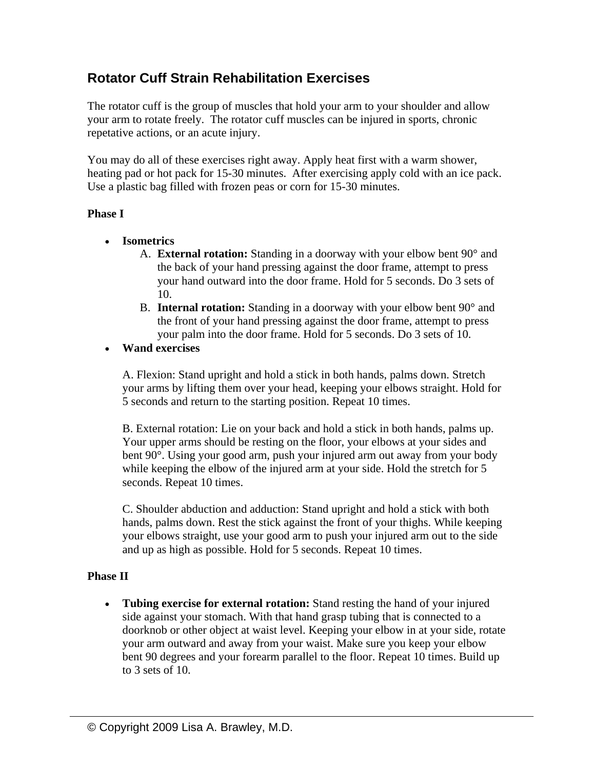## **Rotator Cuff Strain Rehabilitation Exercises**

The rotator cuff is the group of muscles that hold your arm to your shoulder and allow your arm to rotate freely. The rotator cuff muscles can be injured in sports, chronic repetative actions, or an acute injury.

You may do all of these exercises right away. Apply heat first with a warm shower, heating pad or hot pack for 15-30 minutes. After exercising apply cold with an ice pack. Use a plastic bag filled with frozen peas or corn for 15-30 minutes.

## **Phase I**

- **Isometrics** 
	- A. **External rotation:** Standing in a doorway with your elbow bent 90° and the back of your hand pressing against the door frame, attempt to press your hand outward into the door frame. Hold for 5 seconds. Do 3 sets of 10.
	- B. **Internal rotation:** Standing in a doorway with your elbow bent 90° and the front of your hand pressing against the door frame, attempt to press your palm into the door frame. Hold for 5 seconds. Do 3 sets of 10.

## • **Wand exercises**

A. Flexion: Stand upright and hold a stick in both hands, palms down. Stretch your arms by lifting them over your head, keeping your elbows straight. Hold for 5 seconds and return to the starting position. Repeat 10 times.

B. External rotation: Lie on your back and hold a stick in both hands, palms up. Your upper arms should be resting on the floor, your elbows at your sides and bent 90°. Using your good arm, push your injured arm out away from your body while keeping the elbow of the injured arm at your side. Hold the stretch for 5 seconds. Repeat 10 times.

C. Shoulder abduction and adduction: Stand upright and hold a stick with both hands, palms down. Rest the stick against the front of your thighs. While keeping your elbows straight, use your good arm to push your injured arm out to the side and up as high as possible. Hold for 5 seconds. Repeat 10 times.

## **Phase II**

• **Tubing exercise for external rotation:** Stand resting the hand of your injured side against your stomach. With that hand grasp tubing that is connected to a doorknob or other object at waist level. Keeping your elbow in at your side, rotate your arm outward and away from your waist. Make sure you keep your elbow bent 90 degrees and your forearm parallel to the floor. Repeat 10 times. Build up to 3 sets of 10.